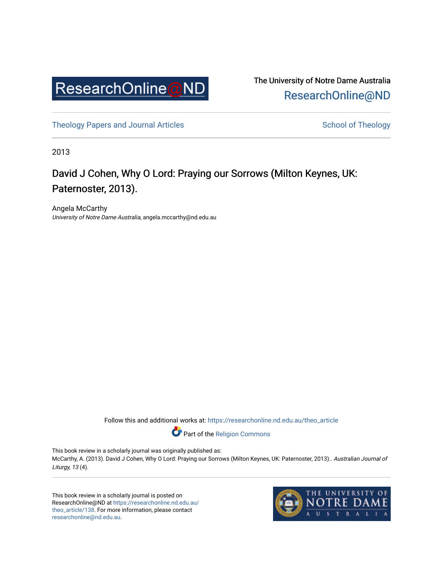

The University of Notre Dame Australia [ResearchOnline@ND](https://researchonline.nd.edu.au/) 

[Theology Papers and Journal Articles](https://researchonline.nd.edu.au/theo_article) and [School of Theology](https://researchonline.nd.edu.au/theo) School of Theology

2013

## David J Cohen, Why O Lord: Praying our Sorrows (Milton Keynes, UK: Paternoster, 2013).

Angela McCarthy University of Notre Dame Australia, angela.mccarthy@nd.edu.au

Follow this and additional works at: [https://researchonline.nd.edu.au/theo\\_article](https://researchonline.nd.edu.au/theo_article?utm_source=researchonline.nd.edu.au%2Ftheo_article%2F138&utm_medium=PDF&utm_campaign=PDFCoverPages) 

Part of the [Religion Commons](http://network.bepress.com/hgg/discipline/538?utm_source=researchonline.nd.edu.au%2Ftheo_article%2F138&utm_medium=PDF&utm_campaign=PDFCoverPages) 

This book review in a scholarly journal was originally published as: McCarthy, A. (2013). David J Cohen, Why O Lord: Praying our Sorrows (Milton Keynes, UK: Paternoster, 2013).. Australian Journal of Liturgy, 13 (4).

This book review in a scholarly journal is posted on ResearchOnline@ND at [https://researchonline.nd.edu.au/](https://researchonline.nd.edu.au/theo_article/138) [theo\\_article/138](https://researchonline.nd.edu.au/theo_article/138). For more information, please contact [researchonline@nd.edu.au.](mailto:researchonline@nd.edu.au)